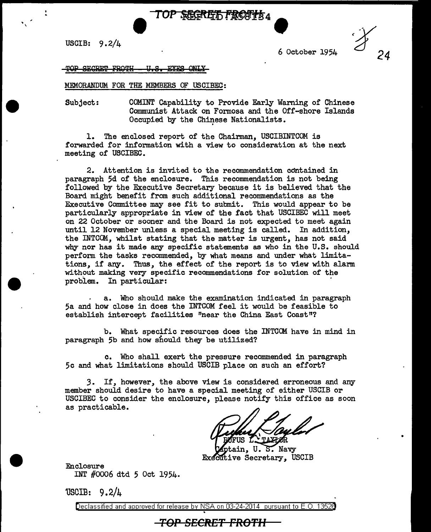

USCIB:  $9.2/4$ 

. •

6 October 1954

TOP SECRET FROTH - U.S. EYES

## MEMORANDUM FOR THE MEMBERS OF USCIBEC:

Subject: COMINT Capability to Provide Early Warning of Chinese Communist Attack on Formosa and the Off-shore Islands Occupied by the Chinese Nationalists.

l. The enclosed report of the Chairman, USCIBINTCOM is forwarded for information with a view to consideration at the next meeting of USCIBEC.

2. Attention is invited to the recommendation contained in paragraph 5d of the enclosure. This recommendation is not being followed by the Executive Secretary because it is believed that the Board might benefit from such additional recommendations as the Executive Committee may see fit to submit. This would appear to be particularly appropriate in view of the fact that USCIBEC will meet on 22 October or sooner and the Board is not expected to meet again until 12 November unless a special meeting is called. In addition, the INTCCM., whilst stating that the matter is urgent, has not said why nor has it made any specific statements as who in the U.S. should perform the tasks recommended, by what means and under what limitations, if any. Thus, the effect of the report is to view with alarm without making very specific recommendations for solution of the problem. In particular:

a. Who should make the examination indicated in paragraph 5a and how close in does the INTCOM feel it would be feasible to establish intercept facilities "near the China East Coast"?

b. What specific resources does the INTCCM have in mind in paragraph 5b and how should they be utilized?

c. Who shall exert the pressure recommended in paragraph 5c and what limitations should USCIB place on such an effort?

3. If, however, the above view is considered erroneous and any member should desire to have a special meeting of either USCIB or USCIBEC to consider the enclosure, please notify this office as soon as practicable.

•

ptain, U.S. Navy Executive Secretary, USCIB

Enclosure INT #0006 dtd 5 Oct 1954.

'1SCIB: 9.2/4

Declassified and approved for release by NSA on 03-24-2014 pursuant to E.O.

## **TOP SECRET FROTII**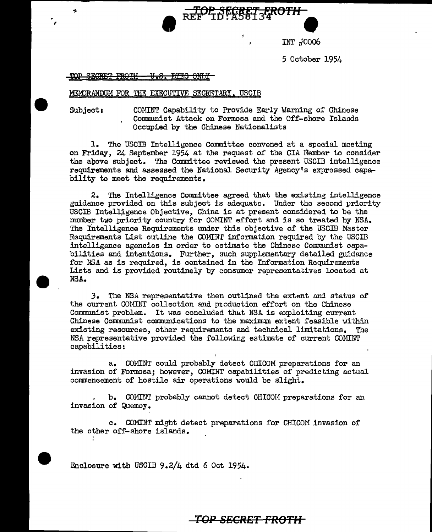INT 7/0006

5 October 1954

TOP SECRET FROTH <del>U.S. BYRS ONLY</del>

## MEMORANDUM FOR THE EXECUTIVE SECRETARY. USCIB

,

Ł

Subject: COlUNT Capability to Provide Early Warning of Chinese Communist Attack on Formosa and the Off-shore Islands Occupied by the Chinese Nationalists

REF TO SECRET STROTH

1. The USCIB Intelligence Committee convened at a special meeting on Friday. 24 September 1954 at the request of the CIA Member to consider the apove subject. The Committee reviewed the present USCIB intelligence requirements and assessed the National Security Agency's expressed capability to meet the requirements.

2. The Intelligence Committee agreed that the existing intelligence guidance provided on this subject is adequate. Under tho second priority USCIB Intelligence Objective, China is at present considered to be the number two priority country for COMINT effort and is so treated by NSA. The Intelligence Requirements under this objective of the USCIB Master Requirements List outline the COMINT information required by the USCIB intelligence agencies in order to estimate the Chinese Communist capabilities and intentions. Further, such supplementary detailed guidance for NSA as is required, is contained in the Information Requirements Lists and is provided routinely by consumer representatives located at NSA.

J. The NSA representative then outlined the extent und status of the current COMINT collection and production effort on the Chinese Communist problem. It was concluded that NSA is exploiting current Chinese Communist communications to the maximum extent feasible within existing resources, other requirements and technical limitations. The NSA representative provided the following estimate of current COMINT capabilities:

a. COMINT could probably detect CIIICOM preparations for an invasion of Formosa; however, COMINT capabilities of predicting actual commencement of hostile air operations would be slight.

b. COMINT probably cannot detect CHICOM preparations for an invasion of Quemoy.

c. COMINT might detect preparations for CHICOM invasion of the other off-shore islands.

Enclosure with USCIB 9.2/4 dtd 6 Oct 1954.

## **TOP SECRET FROTH**